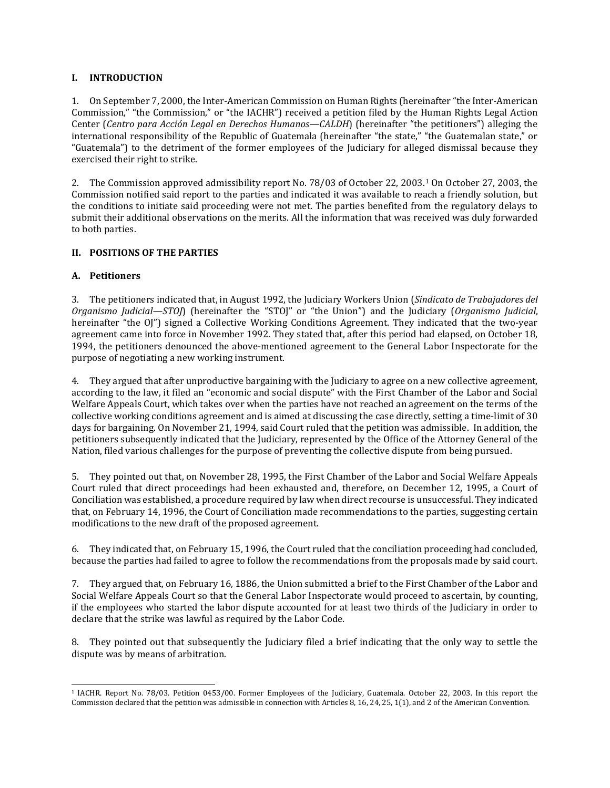## **I. INTRODUCTION**

1. On September 7, 2000, the Inter-American Commission on Human Rights (hereinafter "the Inter-American Commission," "the Commission," or "the IACHR") received a petition filed by the Human Rights Legal Action Center (*Centro para Acción Legal en Derechos Humanos—CALDH*) (hereinafter "the petitioners") alleging the international responsibility of the Republic of Guatemala (hereinafter "the state," "the Guatemalan state," or "Guatemala") to the detriment of the former employees of the Judiciary for alleged dismissal because they exercised their right to strike.

2. The Commission approved admissibility report No. 78/03 of October 22, 2003.[1](#page-0-0) On October 27, 2003, the Commission notified said report to the parties and indicated it was available to reach a friendly solution, but the conditions to initiate said proceeding were not met. The parties benefited from the regulatory delays to submit their additional observations on the merits. All the information that was received was duly forwarded to both parties.

# **II. POSITIONS OF THE PARTIES**

# **A. Petitioners**

3. The petitioners indicated that, in August 1992, the Judiciary Workers Union (*Sindicato de Trabajadores del Organismo Judicial—STOJ*) (hereinafter the "STOJ" or "the Union") and the Judiciary (*Organismo Judicial*, hereinafter "the OJ") signed a Collective Working Conditions Agreement. They indicated that the two-year agreement came into force in November 1992. They stated that, after this period had elapsed, on October 18, 1994, the petitioners denounced the above-mentioned agreement to the General Labor Inspectorate for the purpose of negotiating a new working instrument.

4. They argued that after unproductive bargaining with the Judiciary to agree on a new collective agreement, according to the law, it filed an "economic and social dispute" with the First Chamber of the Labor and Social Welfare Appeals Court, which takes over when the parties have not reached an agreement on the terms of the collective working conditions agreement and is aimed at discussing the case directly, setting a time-limit of 30 days for bargaining. On November 21, 1994, said Court ruled that the petition was admissible. In addition, the petitioners subsequently indicated that the Judiciary, represented by the Office of the Attorney General of the Nation, filed various challenges for the purpose of preventing the collective dispute from being pursued.

5. They pointed out that, on November 28, 1995, the First Chamber of the Labor and Social Welfare Appeals Court ruled that direct proceedings had been exhausted and, therefore, on December 12, 1995, a Court of Conciliation was established, a procedure required by law when direct recourse is unsuccessful. They indicated that, on February 14, 1996, the Court of Conciliation made recommendations to the parties, suggesting certain modifications to the new draft of the proposed agreement.

6. They indicated that, on February 15, 1996, the Court ruled that the conciliation proceeding had concluded, because the parties had failed to agree to follow the recommendations from the proposals made by said court.

7. They argued that, on February 16, 1886, the Union submitted a brief to the First Chamber of the Labor and Social Welfare Appeals Court so that the General Labor Inspectorate would proceed to ascertain, by counting, if the employees who started the labor dispute accounted for at least two thirds of the Judiciary in order to declare that the strike was lawful as required by the Labor Code.

8. They pointed out that subsequently the Judiciary filed a brief indicating that the only way to settle the dispute was by means of arbitration.

<span id="page-0-0"></span><sup>1</sup> IACHR. Report No. 78/03. Petition 0453/00. Former Employees of the Judiciary, Guatemala. October 22, 2003. In this report the Commission declared that the petition was admissible in connection with Articles 8, 16, 24, 25, 1(1), and 2 of the American Convention.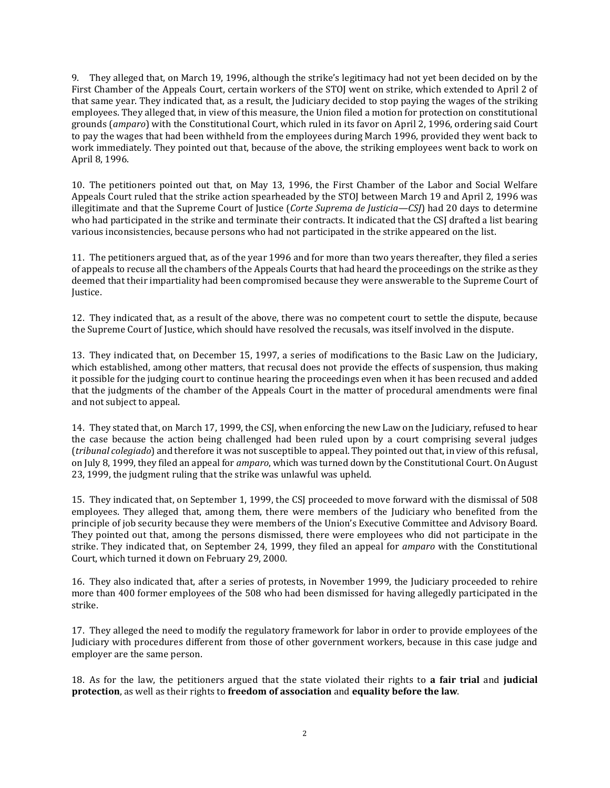9. They alleged that, on March 19, 1996, although the strike's legitimacy had not yet been decided on by the First Chamber of the Appeals Court, certain workers of the STOJ went on strike, which extended to April 2 of that same year. They indicated that, as a result, the Judiciary decided to stop paying the wages of the striking employees. They alleged that, in view of this measure, the Union filed a motion for protection on constitutional grounds (*amparo*) with the Constitutional Court, which ruled in its favor on April 2, 1996, ordering said Court to pay the wages that had been withheld from the employees during March 1996, provided they went back to work immediately. They pointed out that, because of the above, the striking employees went back to work on April 8, 1996.

10. The petitioners pointed out that, on May 13, 1996, the First Chamber of the Labor and Social Welfare Appeals Court ruled that the strike action spearheaded by the STOJ between March 19 and April 2, 1996 was illegitimate and that the Supreme Court of Justice (*Corte Suprema de Justicia—CSJ*) had 20 days to determine who had participated in the strike and terminate their contracts. It indicated that the CSJ drafted a list bearing various inconsistencies, because persons who had not participated in the strike appeared on the list.

11. The petitioners argued that, as of the year 1996 and for more than two years thereafter, they filed a series of appeals to recuse all the chambers of the Appeals Courts that had heard the proceedings on the strike as they deemed that their impartiality had been compromised because they were answerable to the Supreme Court of Justice.

12. They indicated that, as a result of the above, there was no competent court to settle the dispute, because the Supreme Court of Justice, which should have resolved the recusals, was itself involved in the dispute.

13. They indicated that, on December 15, 1997, a series of modifications to the Basic Law on the Judiciary, which established, among other matters, that recusal does not provide the effects of suspension, thus making it possible for the judging court to continue hearing the proceedings even when it has been recused and added that the judgments of the chamber of the Appeals Court in the matter of procedural amendments were final and not subject to appeal.

14. They stated that, on March 17, 1999, the CSJ, when enforcing the new Law on the Judiciary, refused to hear the case because the action being challenged had been ruled upon by a court comprising several judges (*tribunal colegiado*) and therefore it was not susceptible to appeal. They pointed out that, in view of this refusal, on July 8, 1999, they filed an appeal for *amparo*, which was turned down by the Constitutional Court. On August 23, 1999, the judgment ruling that the strike was unlawful was upheld.

15. They indicated that, on September 1, 1999, the CSJ proceeded to move forward with the dismissal of 508 employees. They alleged that, among them, there were members of the Judiciary who benefited from the principle of job security because they were members of the Union's Executive Committee and Advisory Board. They pointed out that, among the persons dismissed, there were employees who did not participate in the strike. They indicated that, on September 24, 1999, they filed an appeal for *amparo* with the Constitutional Court, which turned it down on February 29, 2000.

16. They also indicated that, after a series of protests, in November 1999, the Judiciary proceeded to rehire more than 400 former employees of the 508 who had been dismissed for having allegedly participated in the strike.

17. They alleged the need to modify the regulatory framework for labor in order to provide employees of the Judiciary with procedures different from those of other government workers, because in this case judge and employer are the same person.

18. As for the law, the petitioners argued that the state violated their rights to **a fair trial** and **judicial protection**, as well as their rights to **freedom of association** and **equality before the law**.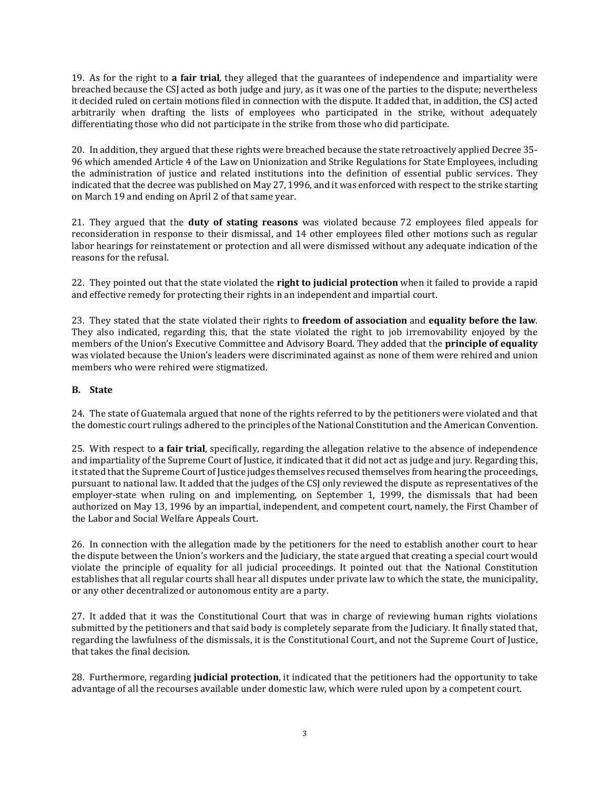19. As for the right to **a fair trial**, they alleged that the guarantees of independence and impartiality were breached because the CSJ acted as both judge and jury, as it was one of the parties to the dispute; nevertheless it decided ruled on certain motions filed in connection with the dispute. It added that, in addition, the CSJ acted arbitrarily when drafting the lists of employees who participated in the strike, without adequately differentiating those who did not participate in the strike from those who did participate.

20. In addition, they argued that these rights were breached because the state retroactively applied Decree 35- 96 which amended Article 4 of the Law on Unionization and Strike Regulations for State Employees, including the administration of justice and related institutions into the definition of essential public services. They indicated that the decree was published on May 27, 1996, and it was enforced with respect to the strike starting on March 19 and ending on April 2 of that same year.

21. They argued that the **duty of stating reasons** was violated because 72 employees filed appeals for reconsideration in response to their dismissal, and 14 other employees filed other motions such as regular labor hearings for reinstatement or protection and all were dismissed without any adequate indication of the reasons for the refusal.

22. They pointed out that the state violated the **right to judicial protection** when it failed to provide a rapid and effective remedy for protecting their rights in an independent and impartial court.

23. They stated that the state violated their rights to **freedom of association** and **equality before the law**. They also indicated, regarding this, that the state violated the right to job irremovability enjoyed by the members of the Union's Executive Committee and Advisory Board. They added that the **principle of equality** was violated because the Union's leaders were discriminated against as none of them were rehired and union members who were rehired were stigmatized.

# **B. State**

24. The state of Guatemala argued that none of the rights referred to by the petitioners were violated and that the domestic court rulings adhered to the principles of the National Constitution and the American Convention.

25. With respect to **a fair trial**, specifically, regarding the allegation relative to the absence of independence and impartiality of the Supreme Court of Justice, it indicated that it did not act as judge and jury. Regarding this, it stated that the Supreme Court of Justice judges themselves recused themselves from hearing the proceedings, pursuant to national law. It added that the judges of the CSJ only reviewed the dispute as representatives of the employer-state when ruling on and implementing, on September 1, 1999, the dismissals that had been authorized on May 13, 1996 by an impartial, independent, and competent court, namely, the First Chamber of the Labor and Social Welfare Appeals Court.

26. In connection with the allegation made by the petitioners for the need to establish another court to hear the dispute between the Union's workers and the Judiciary, the state argued that creating a special court would violate the principle of equality for all judicial proceedings. It pointed out that the National Constitution establishes that all regular courts shall hear all disputes under private law to which the state, the municipality, or any other decentralized or autonomous entity are a party.

27. It added that it was the Constitutional Court that was in charge of reviewing human rights violations submitted by the petitioners and that said body is completely separate from the Judiciary. It finally stated that, regarding the lawfulness of the dismissals, it is the Constitutional Court, and not the Supreme Court of Justice, that takes the final decision.

28. Furthermore, regarding **judicial protection**, it indicated that the petitioners had the opportunity to take advantage of all the recourses available under domestic law, which were ruled upon by a competent court.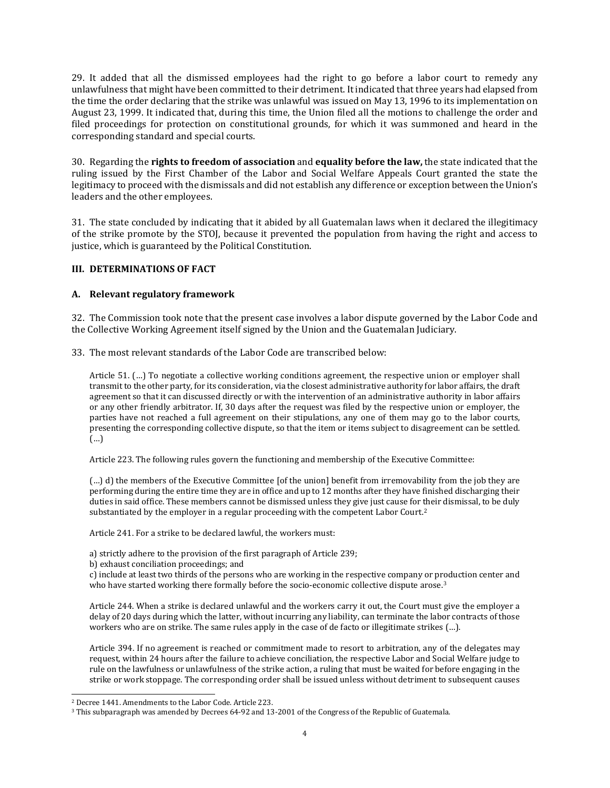29. It added that all the dismissed employees had the right to go before a labor court to remedy any unlawfulness that might have been committed to their detriment. Itindicated that three years had elapsed from the time the order declaring that the strike was unlawful was issued on May 13, 1996 to its implementation on August 23, 1999. It indicated that, during this time, the Union filed all the motions to challenge the order and filed proceedings for protection on constitutional grounds, for which it was summoned and heard in the corresponding standard and special courts.

30. Regarding the **rights to freedom of association** and **equality before the law,** the state indicated that the ruling issued by the First Chamber of the Labor and Social Welfare Appeals Court granted the state the legitimacy to proceed with the dismissals and did not establish any difference or exception between the Union's leaders and the other employees.

31. The state concluded by indicating that it abided by all Guatemalan laws when it declared the illegitimacy of the strike promote by the STOJ, because it prevented the population from having the right and access to justice, which is guaranteed by the Political Constitution.

### **III. DETERMINATIONS OF FACT**

### **A. Relevant regulatory framework**

32. The Commission took note that the present case involves a labor dispute governed by the Labor Code and the Collective Working Agreement itself signed by the Union and the Guatemalan Judiciary.

33. The most relevant standards of the Labor Code are transcribed below:

Article 51. (…) To negotiate a collective working conditions agreement, the respective union or employer shall transmit to the other party, for its consideration, via the closest administrative authority for labor affairs, the draft agreement so that it can discussed directly or with the intervention of an administrative authority in labor affairs or any other friendly arbitrator. If, 30 days after the request was filed by the respective union or employer, the parties have not reached a full agreement on their stipulations, any one of them may go to the labor courts, presenting the corresponding collective dispute, so that the item or items subject to disagreement can be settled. (…)

Article 223. The following rules govern the functioning and membership of the Executive Committee:

(…) d) the members of the Executive Committee [of the union] benefit from irremovability from the job they are performing during the entire time they are in office and up to 12 months after they have finished discharging their duties in said office. These members cannot be dismissed unless they give just cause for their dismissal, to be duly substantiated by the employer in a regular proceeding with the competent Labor Court.[2](#page-3-0)

Article 241. For a strike to be declared lawful, the workers must:

a) strictly adhere to the provision of the first paragraph of Article 239;

b) exhaust conciliation proceedings; and

c) include at least two thirds of the persons who are working in the respective company or production center and who have started working there formally before the socio-economic collective dispute arose.<sup>[3](#page-3-1)</sup>

Article 244. When a strike is declared unlawful and the workers carry it out, the Court must give the employer a delay of 20 days during which the latter, without incurring any liability, can terminate the labor contracts of those workers who are on strike. The same rules apply in the case of de facto or illegitimate strikes (…).

Article 394. If no agreement is reached or commitment made to resort to arbitration, any of the delegates may request, within 24 hours after the failure to achieve conciliation, the respective Labor and Social Welfare judge to rule on the lawfulness or unlawfulness of the strike action, a ruling that must be waited for before engaging in the strike or work stoppage. The corresponding order shall be issued unless without detriment to subsequent causes

<span id="page-3-0"></span><sup>2</sup> Decree 1441. Amendments to the Labor Code. Article 223.

<span id="page-3-1"></span><sup>3</sup> This subparagraph was amended by Decrees 64-92 and 13-2001 of the Congress of the Republic of Guatemala.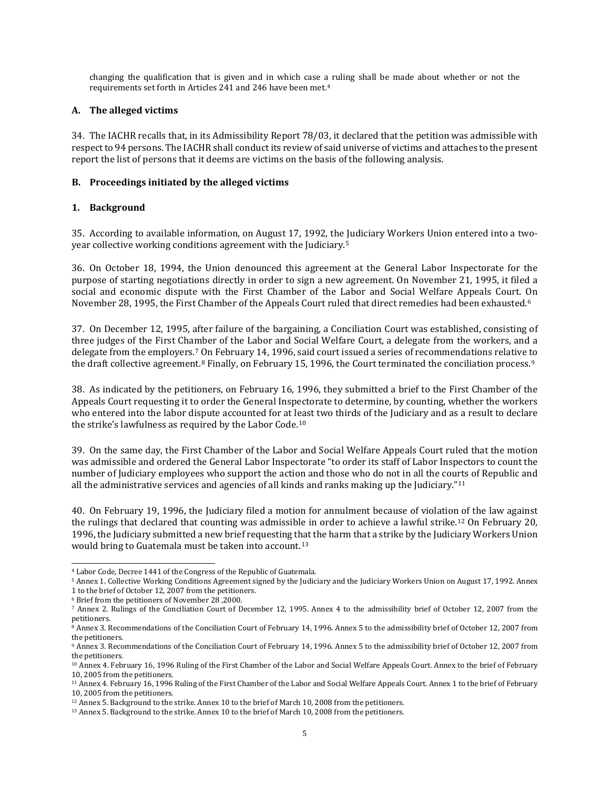changing the qualification that is given and in which case a ruling shall be made about whether or not the requirements set forth in Articles 241 and 246 have been met.[4](#page-4-0)

## **A. The alleged victims**

34. The IACHR recalls that, in its Admissibility Report 78/03, it declared that the petition was admissible with respectto 94 persons. The IACHR shall conductits review of said universe of victims and attaches to the present report the list of persons that it deems are victims on the basis of the following analysis.

# **B. Proceedings initiated by the alleged victims**

# **1. Background**

35. According to available information, on August 17, 1992, the Judiciary Workers Union entered into a twoyear collective working conditions agreement with the Judiciary.[5](#page-4-1)

36. On October 18, 1994, the Union denounced this agreement at the General Labor Inspectorate for the purpose of starting negotiations directly in order to sign a new agreement. On November 21, 1995, it filed a social and economic dispute with the First Chamber of the Labor and Social Welfare Appeals Court. [O](#page-4-2)n November 28, 1995, the First Chamber of the Appeals Court ruled that direct remedies had been exhausted.6

37. On December 12, 1995, after failure of the bargaining, a Conciliation Court was established, consisting of three judges of the First Chamber of the Labor and Social Welfare Court, a delegate from the workers, and a delegate from the employers.[7](#page-4-3) On February 14, 1996, said court issued a series of recommendations relative to the draft collective agreement.<sup>[8](#page-4-4)</sup> Finally, on February 15, 1[9](#page-4-5)96, the Court terminated the conciliation process.<sup>9</sup>

38. As indicated by the petitioners, on February 16, 1996, they submitted a brief to the First Chamber of the Appeals Court requesting it to order the General Inspectorate to determine, by counting, whether the workers who entered into the labor dispute accounted for at least two thirds of the Judiciary and as a result to declare the strike's lawfulness as required by the Labor Code.[10](#page-4-6)

39. On the same day, the First Chamber of the Labor and Social Welfare Appeals Court ruled that the motion was admissible and ordered the General Labor Inspectorate "to order its staff of Labor Inspectors to count the number of Judiciary employees who support the action and those who do not in all the cou[rts](#page-4-7) of Republic and all the administrative services and agencies of all kinds and ranks making up the Judiciary."11

40. On February 19, 1996, the Judiciary filed a motion for annulment because of violation of the law against the rulings that declared that counting was admissible in order to achieve a lawful strike.[12](#page-4-8) On February 20, 1996, the Judiciary submitted a new brief requesting that the harm that a strike by the Judiciary Workers Union would bring to Guatemala must be taken into account.<sup>[13](#page-4-9)</sup>

<span id="page-4-0"></span><sup>4</sup> Labor Code, Decree 1441 of the Congress of the Republic of Guatemala.

<span id="page-4-1"></span><sup>5</sup> Annex 1. Collective Working Conditions Agreement signed by the Judiciary and the Judiciary Workers Union on August 17, 1992. Annex 1 to the brief of October 12, 2007 from the petitioners.

<span id="page-4-2"></span><sup>6</sup> Brief from the petitioners of November 28 ,2000.

<span id="page-4-3"></span><sup>7</sup> Annex 2. Rulings of the Conciliation Court of December 12, 1995. Annex 4 to the admissibility brief of October 12, 2007 from the petitioners.

<span id="page-4-4"></span><sup>8</sup> Annex 3. Recommendations of the Conciliation Court of February 14, 1996. Annex 5 to the admissibility brief of October 12, 2007 from the petitioners.

<span id="page-4-5"></span><sup>9</sup> Annex 3. Recommendations of the Conciliation Court of February 14, 1996. Annex 5 to the admissibility brief of October 12, 2007 from the petitioners.

<span id="page-4-6"></span><sup>10</sup> Annex 4. February 16, 1996 Ruling of the First Chamber of the Labor and Social Welfare Appeals Court. Annex to the brief of February 10, 2005 from the petitioners.

<span id="page-4-7"></span><sup>11</sup> Annex 4. February 16, 1996 Ruling of the First Chamber of the Labor and Social Welfare Appeals Court. Annex 1 to the brief of February 10, 2005 from the petitioners.

<span id="page-4-8"></span><sup>12</sup> Annex 5. Background to the strike. Annex 10 to the brief of March 10, 2008 from the petitioners.

<span id="page-4-9"></span><sup>13</sup> Annex 5. Background to the strike. Annex 10 to the brief of March 10, 2008 from the petitioners.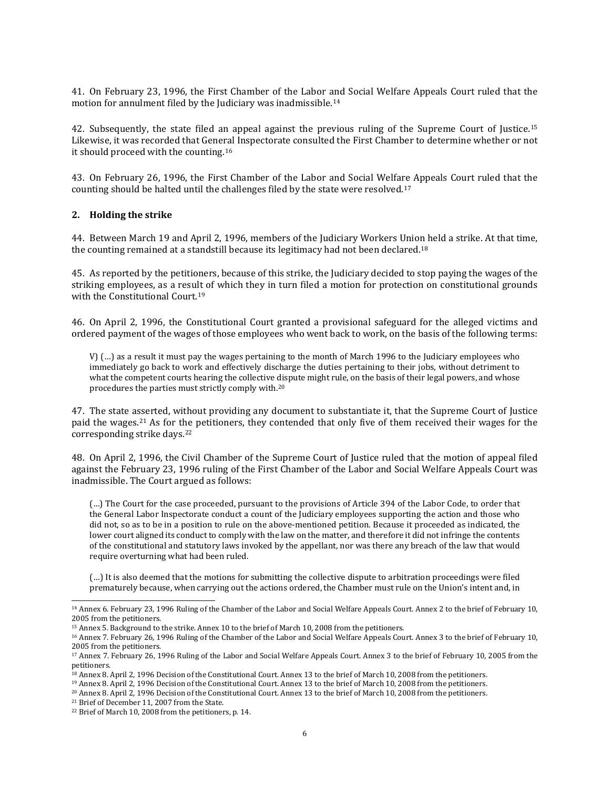41. On February 23, 1996, the First Chamber of the Labor and Social Welfare Appeals Court ruled that the motion for annulment filed by the Judiciary was inadmissible.[14](#page-5-0)

42. Subsequently, the state filed an appeal against the previous ruling of the Supreme Court of Justice.[15](#page-5-1) Likewise, it was recorded that General Inspectorate consulted the First Chamber to determine whether or not it should proceed with the counting.[16](#page-5-2)

43. On February 26, 1996, the First Chamber of the Labor and Social Welfare Appeals Court ruled that the counting should be halted until the challenges filed by the state were resolved.[17](#page-5-3)

#### **2. Holding the strike**

44. Between March 19 and April 2, 1996, members of the Judiciary Workers Union held a strike. At that time, the counting remained at a standstill because its legitimacy had not been declared.[18](#page-5-4)

45. As reported by the petitioners, because of this strike, the Judiciary decided to stop paying the wages of the striking employees, as a result of which they in turn filed a motion for protection on constitutional grounds with the Constitutional Court.<sup>[19](#page-5-5)</sup>

46. On April 2, 1996, the Constitutional Court granted a provisional safeguard for the alleged victims and ordered payment of the wages of those employees who went back to work, on the basis of the following terms:

V) (…) as a result it must pay the wages pertaining to the month of March 1996 to the Judiciary employees who immediately go back to work and effectively discharge the duties pertaining to their jobs, without detriment to what the competent courts hearing the collective dispute might rule, on the basis of their legal powers, and whose procedures the parties must strictly comply with.[20](#page-5-6)

47. The state asserted, without providing any document to substantiate it, that the Supreme Court of Justice paid the wages.[21](#page-5-7) As for the petitioners, they contended that only five of them received their wages for the corresponding strike days.[22](#page-5-8)

48. On April 2, 1996, the Civil Chamber of the Supreme Court of Justice ruled that the motion of appeal filed against the February 23, 1996 ruling of the First Chamber of the Labor and Social Welfare Appeals Court was inadmissible. The Court argued as follows:

(…) The Court for the case proceeded, pursuant to the provisions of Article 394 of the Labor Code, to order that the General Labor Inspectorate conduct a count of the Judiciary employees supporting the action and those who did not, so as to be in a position to rule on the above-mentioned petition. Because it proceeded as indicated, the lower court aligned its conduct to comply with the law on the matter, and therefore it did not infringe the contents of the constitutional and statutory laws invoked by the appellant, nor was there any breach of the law that would require overturning what had been ruled.

(…) It is also deemed that the motions for submitting the collective dispute to arbitration proceedings were filed prematurely because, when carrying out the actions ordered, the Chamber must rule on the Union's intent and, in

<span id="page-5-7"></span><sup>21</sup> Brief of December 11, 2007 from the State.

<span id="page-5-0"></span><sup>14</sup> Annex 6. February 23, 1996 Ruling of the Chamber of the Labor and Social Welfare Appeals Court. Annex 2 to the brief of February 10, 2005 from the petitioners.

<span id="page-5-2"></span><span id="page-5-1"></span><sup>&</sup>lt;sup>15</sup> Annex 5. Background to the strike. Annex 10 to the brief of March 10, 2008 from the petitioners.

<sup>16</sup> Annex 7. February 26, 1996 Ruling of the Chamber of the Labor and Social Welfare Appeals Court. Annex 3 to the brief of February 10, 2005 from the petitioners.

<span id="page-5-3"></span><sup>17</sup> Annex 7. February 26, 1996 Ruling of the Labor and Social Welfare Appeals Court. Annex 3 to the brief of February 10, 2005 from the petitioners.

<span id="page-5-4"></span><sup>18</sup> Annex 8. April 2, 1996 Decision of the Constitutional Court. Annex 13 to the brief of March 10, 2008 from the petitioners.

<sup>19</sup> Annex 8. April 2, 1996 Decision of the Constitutional Court. Annex 13 to the brief of March 10, 2008 from the petitioners.

<span id="page-5-6"></span><span id="page-5-5"></span><sup>20</sup> Annex 8. April 2, 1996 Decision of the Constitutional Court. Annex 13 to the brief of March 10, 2008 from the petitioners.

<span id="page-5-8"></span><sup>22</sup> Brief of March 10, 2008 from the petitioners, p. 14.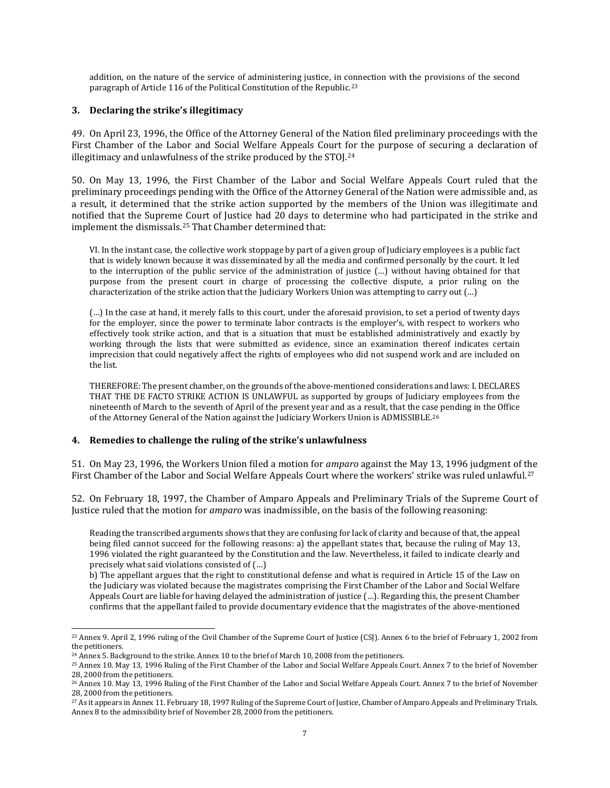addition, on the nature of the service of administering justice, in c[onn](#page-6-0)ection with the provisions of the second paragraph of Article 116 of the Political Constitution of the Republic.23

### **3. Declaring the strike's illegitimacy**

49. On April 23, 1996, the Office of the Attorney General of the Nation filed preliminary proceedings with the First Chamber of the Labor and Social Welfare Appeals Court [for](#page-6-1) the purpose of securing a declaration of illegitimacy and unlawfulness of the strike produced by the STOJ.<sup>24</sup>

50. On May 13, 1996, the First Chamber of the Labor and Social Welfare Appeals Court ruled that the preliminary proceedings pending with the Office of the Attorney General of the Nation were admissible and, as a result, it determined that the strike action supported by the members of the Union was illegitimate and notified that the Supreme Court of Justice had 20 days to determine who had participated in the strike and implement the dismissals.[25](#page-6-2) That Chamber determined that:

VI. In the instant case, the collective work stoppage by part of a given group of Judiciary employees is a public fact that is widely known because it was disseminated by all the media and confirmed personally by the court. It led to the interruption of the public service of the administration of justice (…) without having obtained for that purpose from the present court in charge of processing the collective dispute, a prior ruling on the characterization of the strike action that the Judiciary Workers Union was attempting to carry out (…)

(…) In the case at hand, it merely falls to this court, under the aforesaid provision, to set a period of twenty days for the employer, since the power to terminate labor contracts is the employer's, with respect to workers who effectively took strike action, and that is a situation that must be established administratively and exactly by working through the lists that were submitted as evidence, since an examination thereof indicates certain imprecision that could negatively affect the rights of employees who did not suspend work and are included on the list.

THEREFORE: The present chamber, on the grounds ofthe above-mentioned considerations and laws: I. DECLARES THAT THE DE FACTO STRIKE ACTION IS UNLAWFUL as supported by groups of Judiciary employees from the nineteenth of March to the seventh of April of the present year and as a result, that the case pending in the Office of the Attorney General of the Nation against the Judiciary Workers Union is ADMISSIBLE.[26](#page-6-3)

### **4. Remedies to challenge the ruling of the strike's unlawfulness**

51. On May 23, 1996, the Workers Union filed a motion for *amparo* against the May 13, 1996 judgment of the First Chamber of the Labor and Social Welfare Appeals Court where the workers' strike was ruled unlawful.<sup>[27](#page-6-4)</sup>

52. On February 18, 1997, the Chamber of Amparo Appeals and Preliminary Trials of the Supreme Court of Justice ruled that the motion for *amparo* was inadmissible, on the basis of the following reasoning:

Reading the transcribed arguments shows that they are confusing for lack of clarity and because of that, the appeal being filed cannot succeed for the following reasons: a) the appellant states that, because the ruling of May 13, 1996 violated the right guaranteed by the Constitution and the law. Nevertheless, it failed to indicate clearly and precisely what said violations consisted of (…)

b) The appellant argues that the right to constitutional defense and what is required in Article 15 of the Law on the Judiciary was violated because the magistrates comprising the First Chamber of the Labor and Social Welfare Appeals Court are liable for having delayed the administration of justice (…). Regarding this, the present Chamber confirms that the appellant failed to provide documentary evidence that the magistrates of the above-mentioned

<span id="page-6-0"></span><sup>23</sup> Annex 9. April 2, 1996 ruling of the Civil Chamber of the Supreme Court of Justice (CSJ). Annex 6 to the brief of February 1, 2002 from the petitioners.

<span id="page-6-1"></span><sup>&</sup>lt;sup>24</sup> Annex 5. Background to the strike. Annex 10 to the brief of March 10, 2008 from the petitioners.

<span id="page-6-2"></span><sup>25</sup> Annex 10. May 13, 1996 Ruling of the First Chamber of the Labor and Social Welfare Appeals Court. Annex 7 to the brief of November 28, 2000 from the petitioners.

<span id="page-6-3"></span><sup>26</sup> Annex 10. May 13, 1996 Ruling of the First Chamber of the Labor and Social Welfare Appeals Court. Annex 7 to the brief of November 28, 2000 from the petitioners.

<span id="page-6-4"></span><sup>&</sup>lt;sup>27</sup> As it appears in Annex 11. February 18, 1997 Ruling of the Supreme Court of Justice, Chamber of Amparo Appeals and Preliminary Trials. Annex 8 to the admissibility brief of November 28, 2000 from the petitioners.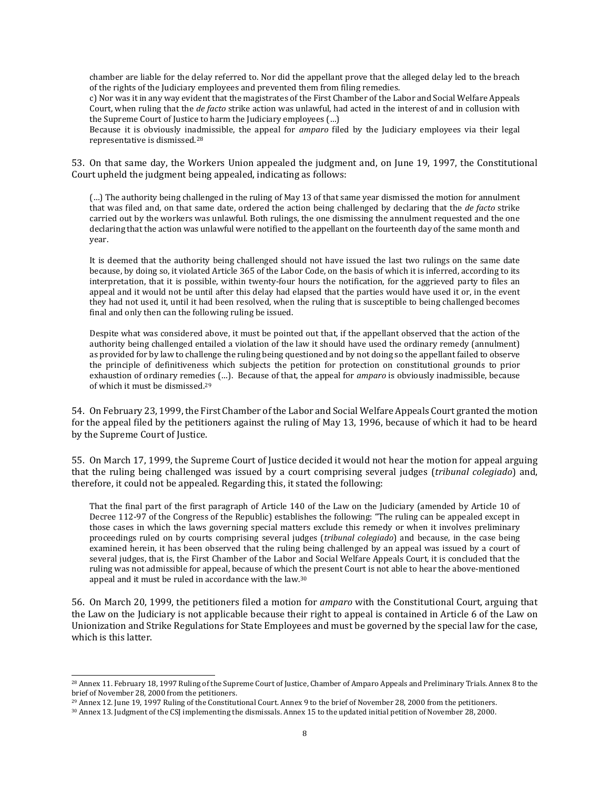chamber are liable for the delay referred to. Nor did the appellant prove that the alleged delay led to the breach of the rights of the Judiciary employees and prevented them from filing remedies.

c) Nor was it in any way evident that the magistrates of the First Chamber of the Labor and Social Welfare Appeals Court, when ruling that the *de facto* strike action was unlawful, had acted in the interest of and in collusion with the Supreme Court of Justice to harm the Judiciary employees (…)

Because it is obviously inadmissible, the appeal for *amparo* filed by the Judiciary employees via their legal representative is dismissed.[28](#page-7-0)

53. On that same day, the Workers Union appealed the judgment and, on June 19, 1997, the Constitutional Court upheld the judgment being appealed, indicating as follows:

(…) The authority being challenged in the ruling of May 13 of that same year dismissed the motion for annulment that was filed and, on that same date, ordered the action being challenged by declaring that the *de facto* strike carried out by the workers was unlawful. Both rulings, the one dismissing the annulment requested and the one declaring that the action was unlawful were notified to the appellant on the fourteenth day of the same month and year.

It is deemed that the authority being challenged should not have issued the last two rulings on the same date because, by doing so, it violated Article 365 of the Labor Code, on the basis of which it is inferred, according to its interpretation, that it is possible, within twenty-four hours the notification, for the aggrieved party to files an appeal and it would not be until after this delay had elapsed that the parties would have used it or, in the event they had not used it, until it had been resolved, when the ruling that is susceptible to being challenged becomes final and only then can the following ruling be issued.

Despite what was considered above, it must be pointed out that, if the appellant observed that the action of the authority being challenged entailed a violation of the law it should have used the ordinary remedy (annulment) as provided for by law to challenge the ruling being questioned and by not doing so the appellant failed to observe the principle of definitiveness which subjects the petition for protection on constitutional grounds to prior exhaustion of ordinary remed[ies](#page-7-1) (…). Because of that, the appeal for *amparo* is obviously inadmissible, because of which it must be dismissed.29

54. On February 23, 1999, the First Chamber of the Labor and Social Welfare Appeals Court granted the motion for the appeal filed by the petitioners against the ruling of May 13, 1996, because of which it had to be heard by the Supreme Court of Justice.

55. On March 17, 1999, the Supreme Court of Justice decided it would not hear the motion for appeal arguing that the ruling being challenged was issued by a court comprising several judges (*tribunal colegiado*) and, therefore, it could not be appealed. Regarding this, it stated the following:

That the final part of the first paragraph of Article 140 of the Law on the Judiciary (amended by Article 10 of Decree 112-97 of the Congress of the Republic) establishes the following: "The ruling can be appealed except in those cases in which the laws governing special matters exclude this remedy or when it involves preliminary proceedings ruled on by courts comprising several judges (*tribunal colegiado*) and because, in the case being examined herein, it has been observed that the ruling being challenged by an appeal was issued by a court of several judges, that is, the First Chamber of the Labor and Social Welfare Appeals Court, it is concluded that the ruling was not admissible for appeal, because of which [the](#page-7-2) present Court is not able to hear the above-mentioned appeal and it must be ruled in accordance with the law.30

56. On March 20, 1999, the petitioners filed a motion for *amparo* with the Constitutional Court, arguing that the Law on the Judiciary is not applicable because their right to appeal is contained in Article 6 of the Law on Unionization and Strike Regulations for State Employees and must be governed by the special law for the case, which is this latter.

<span id="page-7-0"></span><sup>28</sup> Annex 11. February 18, 1997 Ruling of the Supreme Court of Justice, Chamber of Amparo Appeals and Preliminary Trials. Annex 8 to the brief of November 28, 2000 from the petitioners.

<span id="page-7-1"></span><sup>29</sup> Annex 12. June 19, 1997 Ruling of the Constitutional Court. Annex 9 to the brief of November 28, 2000 from the petitioners.

<span id="page-7-2"></span><sup>30</sup> Annex 13. Judgment of the CSJ implementing the dismissals. Annex 15 to the updated initial petition of November 28, 2000.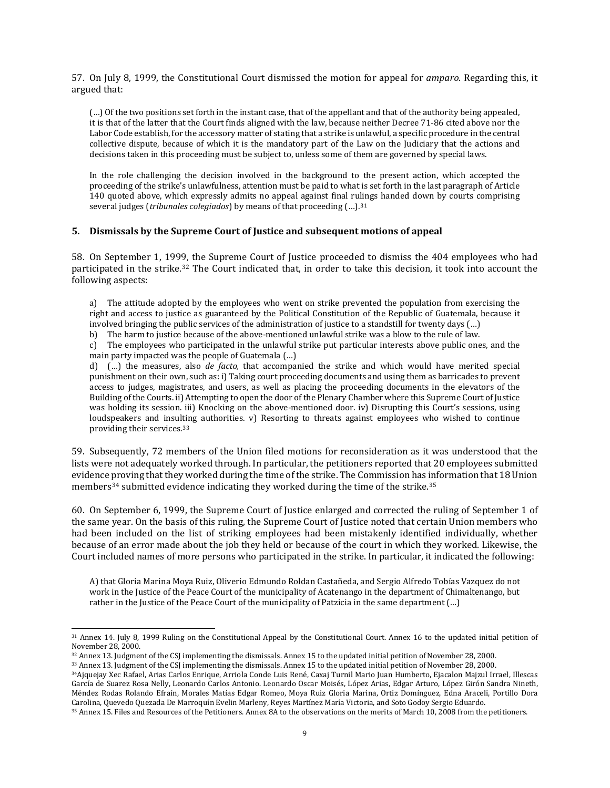57. On July 8, 1999, the Constitutional Court dismissed the motion for appeal for *amparo*. Regarding this, it argued that:

(…) Of the two positions set forth in the instant case, that of the appellant and that of the authority being appealed, it is that of the latter that the Court finds aligned with the law, because neither Decree 71-86 cited above nor the Labor Code establish, for the accessory matter of stating that a strike is unlawful, a specific procedure in the central collective dispute, because of which it is the mandatory part of the Law on the Judiciary that the actions and decisions taken in this proceeding must be subject to, unless some of them are governed by special laws.

In the role challenging the decision involved in the background to the present action, which accepted the proceeding of the strike's unlawfulness, attention must be paid to what is set forth in the last paragraph of Article 140 quoted above, which expressly admits no appeal against final rulings handed down by courts comprising several judges (*tribunales colegiados*) by means of that proceeding (…).[31](#page-8-0)

#### **5. Dismissals by the Supreme Court of Justice and subsequent motions of appeal**

58. On September 1, 1999, the Supreme Court of Justice proceeded to dismiss the 404 employees who had participated in the strike.[32](#page-8-1) The Court indicated that, in order to take this decision, it took into account the following aspects:

a) The attitude adopted by the employees who went on strike prevented the population from exercising the right and access to justice as guaranteed by the Political Constitution of the Republic of Guatemala, because it involved bringing the public services of the administration of justice to a standstill for twenty days (…)

b) The harm to justice because of the above-mentioned unlawful strike was a blow to the rule of law.

c) The employees who participated in the unlawful strike put particular interests above public ones, and the main party impacted was the people of Guatemala (…)

d) (…) the measures, also *de facto,* that accompanied the strike and which would have merited special punishment on their own, such as: i) Taking court proceeding documents and using them as barricades to prevent access to judges, magistrates, and users, as well as placing the proceeding documents in the elevators of the Building of the Courts. ii) Attempting to open the door of the Plenary Chamber where this Supreme Court of Justice was holding its session. iii) Knocking on the above-mentioned door. iv) Disrupting this Court's sessions, using loudspeakers and insulting authorities. v) Resorting to threats against employees who wished to continue providing their services.[33](#page-8-2)

59. Subsequently, 72 members of the Union filed motions for reconsideration as it was understood that the lists were not adequately worked through. In particular, the petitioners reported that 20 employees submitted evidence proving that they worked during the time of the strike. The Commission has information that 18 Union members[34](#page-8-3) submitted evidence indicating they worked during the time of the strike.[35](#page-8-4)

60. On September 6, 1999, the Supreme Court of Justice enlarged and corrected the ruling of September 1 of the same year. On the basis of this ruling, the Supreme Court of Justice noted that certain Union members who had been included on the list of striking employees had been mistakenly identified individually, whether because of an error made about the job they held or because of the court in which they worked. Likewise, the Court included names of more persons who participated in the strike. In particular, it indicated the following:

A) that Gloria Marina Moya Ruiz, Oliverio Edmundo Roldan Castañeda, and Sergio Alfredo Tobías Vazquez do not work in the Justice of the Peace Court of the municipality of Acatenango in the department of Chimaltenango, but rather in the Justice of the Peace Court of the municipality of Patzicia in the same department (…)

<span id="page-8-0"></span><sup>31</sup> Annex 14. July 8, 1999 Ruling on the Constitutional Appeal by the Constitutional Court. Annex 16 to the updated initial petition of November 28, 2000.

<span id="page-8-1"></span><sup>32</sup> Annex 13. Judgment of the CSJ implementing the dismissals. Annex 15 to the updated initial petition of November 28, 2000.

<span id="page-8-2"></span><sup>33</sup> Annex 13. Judgment of the CSJ implementing the dismissals. Annex 15 to the updated initial petition of November 28, 2000.

<span id="page-8-3"></span><sup>34</sup>Ajquejay Xec Rafael, Arias Carlos Enrique, Arriola Conde Luis René, Caxaj Turnil Mario Juan Humberto, Ejacalon Majzul Irrael, Illescas García de Suarez Rosa Nelly, Leonardo Carlos Antonio. Leonardo Oscar Moisés, López Arias, Edgar Arturo, López Girón Sandra Nineth, Méndez Rodas Rolando Efraín, Morales Matías Edgar Romeo, Moya Ruiz Gloria Marina, Ortiz Domínguez, Edna Araceli, Portillo Dora Carolina, Quevedo Quezada De Marroquín Evelin Marleny, Reyes Martínez María Victoria, and Soto Godoy Sergio Eduardo.

<span id="page-8-4"></span><sup>35</sup> Annex 15. Files and Resources of the Petitioners. Annex 8A to the observations on the merits of March 10, 2008 from the petitioners.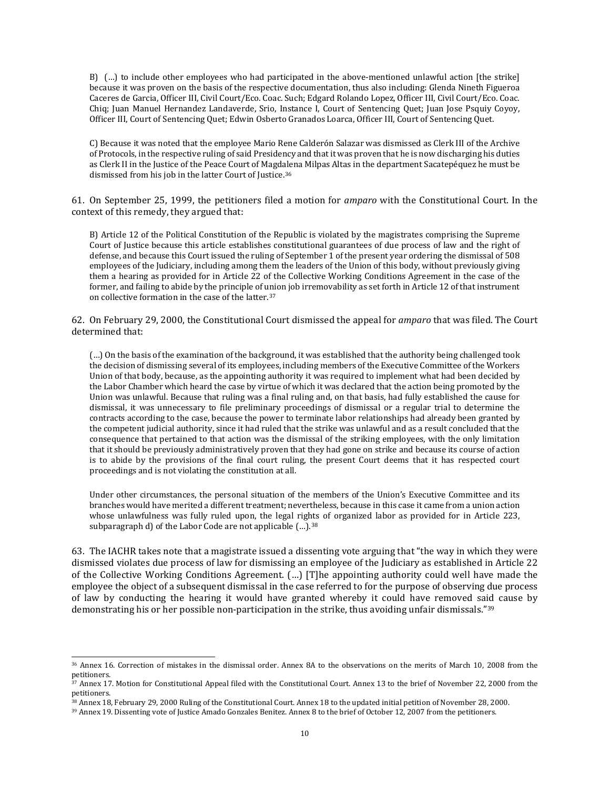B) (…) to include other employees who had participated in the above-mentioned unlawful action [the strike] because it was proven on the basis of the respective documentation, thus also including: Glenda Nineth Figueroa Caceres de Garcia, Officer III, Civil Court/Eco. Coac. Such; Edgard Rolando Lopez, Officer III, Civil Court/Eco. Coac. Chiq; Juan Manuel Hernandez Landaverde, Srio, Instance I, Court of Sentencing Quet; Juan Jose Psquiy Coyoy, Officer III, Court of Sentencing Quet; Edwin Osberto Granados Loarca, Officer III, Court of Sentencing Quet.

C) Because it was noted that the employee Mario Rene Calderón Salazar was dismissed as Clerk III of the Archive of Protocols, in the respective ruling of said Presidency and that it was proven that he is now discharging his duties as Clerk II in the Justice of the Peace Court of Magdalena Milpas Altas in the department Sacatepéquez he must be dismissed from his job in the latter Court of Justice.[36](#page-9-0)

61. On September 25, 1999, the petitioners filed a motion for *amparo* with the Constitutional Court. In the context of this remedy, they argued that:

B) Article 12 of the Political Constitution of the Republic is violated by the magistrates comprising the Supreme Court of Justice because this article establishes constitutional guarantees of due process of law and the right of defense, and because this Court issued the ruling of September 1 of the present year ordering the dismissal of 508 employees of the Judiciary, including among them the leaders of the Union of this body, without previously giving them a hearing as provided for in Article 22 of the Collective Working Conditions Agreement in the case of the former, and failing to abide by the principle of union job irremovability as set forth in Article 12 of that instrument on collective formation in the case of the latter[.37](#page-9-1)

62. On February 29, 2000, the Constitutional Court dismissed the appeal for *amparo* that was filed. The Court determined that:

(…) On the basis of the examination of the background, it was established that the authority being challenged took the decision of dismissing several of its employees, including members of the Executive Committee of the Workers Union of that body, because, as the appointing authority it was required to implement what had been decided by the Labor Chamber which heard the case by virtue of which it was declared that the action being promoted by the Union was unlawful. Because that ruling was a final ruling and, on that basis, had fully established the cause for dismissal, it was unnecessary to file preliminary proceedings of dismissal or a regular trial to determine the contracts according to the case, because the power to terminate labor relationships had already been granted by the competent judicial authority, since it had ruled that the strike was unlawful and as a result concluded that the consequence that pertained to that action was the dismissal of the striking employees, with the only limitation that it should be previously administratively proven that they had gone on strike and because its course of action is to abide by the provisions of the final court ruling, the present Court deems that it has respected court proceedings and is not violating the constitution at all.

Under other circumstances, the personal situation of the members of the Union's Executive Committee and its branches would have merited a different treatment; nevertheless, because in this case it came from a union action whose unlawfulness was fully ruled upon, the legal rights of organized labor as provided for in Article 223, subparagraph d) of the Labor Code are not applicable (...).<sup>[38](#page-9-2)</sup>

63. The IACHR takes note that a magistrate issued a dissenting vote arguing that "the way in which they were dismissed violates due process of law for dismissing an employee of the Judiciary as established in Article 22 of the Collective Working Conditions Agreement. (…) [T]he appointing authority could well have made the employee the object of a subsequent dismissal in the case referred to for the purpose of observing due process of law by conducting the hearing it would have granted whereby it could have removed said cause by demonstrating his or her possible non-participation in the strike, thus avoiding unfair dismissals.["39](#page-9-3)

<span id="page-9-0"></span><sup>36</sup> Annex 16. Correction of mistakes in the dismissal order. Annex 8A to the observations on the merits of March 10, 2008 from the petitioners.

<span id="page-9-1"></span><sup>&</sup>lt;sup>37</sup> Annex 17. Motion for Constitutional Appeal filed with the Constitutional Court. Annex 13 to the brief of November 22, 2000 from the petitioners.

<span id="page-9-2"></span><sup>38</sup> Annex 18, February 29, 2000 Ruling of the Constitutional Court. Annex 18 to the updated initial petition of November 28, 2000.

<span id="page-9-3"></span><sup>39</sup> Annex 19. Dissenting vote of Justice Amado Gonzales Benitez. Annex 8 to the brief of October 12, 2007 from the petitioners.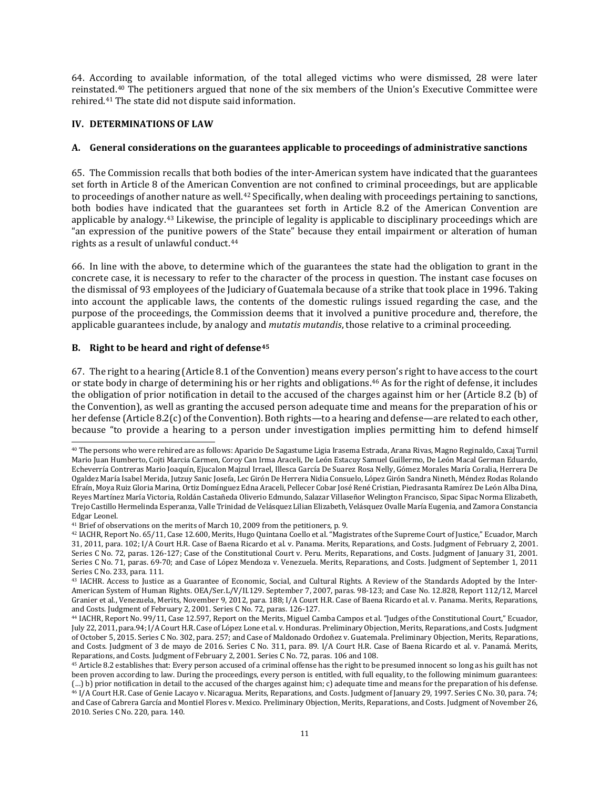64. Accor[din](#page-10-0)g to available information, of the total alleged victims who were dismissed, 28 were later reinstat[ed](#page-10-1).40 The petitioners argued that none of the six members of the Union's Executive Committee were rehired.41 The state did not dispute said information.

## **IV. DETERMINATIONS OF LAW**

## **A. General considerations on the guarantees applicable to proceedings of administrative sanctions**

65. The Commission recalls that both bodies of the inter-American system have indicated that the guarantees set forth in Article 8 of the American Co[nv](#page-10-2)ention are not confined to criminal proceedings, but are applicable to proceedings of another nature as well.<sup>42</sup> Specifically, when dealing with proceedings pertaining to sanctions, both bodies have indicated that the guarantees set forth in Article 8.2 of the American Convention are applicable by analogy.[43](#page-10-3) Likewise, the principle of legality is applicable to disciplinary proceedings which are "an expression of the punitive powers of the State" because they entail impairment or alteration of human rights as a result of unlawful conduct.[44](#page-10-4)

66. In line with the above, to determine which of the guarantees the state had the obligation to grant in the concrete case, it is necessary to refer to the character of the process in question. The instant case focuses on the dismissal of 93 employees of the Judiciary of Guatemala because of a strike that took place in 1996. Taking into account the applicable laws, the contents of the domestic rulings issued regarding the case, and the purpose of the proceedings, the Commission deems that it involved a punitive procedure and, therefore, the applicable guarantees include, by analogy and *mutatis mutandis*, those relative to a criminal proceeding.

# **B. Right to be heard and right of defense[45](#page-10-5)**

67. The right to a hearing (Article 8.1 of the Convention) means every person's right to have access to the court or state body in charge of determining his or her rights and obligations.[46](#page-10-6) As for the right of defense, it includes the obligation of prior notification in detail to the accused of the charges against him or her (Article 8.2 (b) of the Convention), as well as granting the accused person adequate time and means for the preparation of his or her defense (Article 8.2(c) of the Convention). Both rights—to a hearing and defense—are related to each other, because "to provide a hearing to a person under investigation implies permitting him to defend himself

<span id="page-10-0"></span><sup>40</sup> The persons who were rehired are as follows: Aparicio De Sagastume Ligia Irasema Estrada, Arana Rivas, Magno Reginaldo, Caxaj Turnil Mario Juan Humberto, Cojti Marcia Carmen, Coroy Can Irma Araceli, De León Estacuy Samuel Guillermo, De León Macal German Eduardo, Echeverría Contreras Mario Joaquín, Ejucalon Majzul Irrael, Illesca García De Suarez Rosa Nelly, Gómez Morales María Coralia, Herrera De Ogaldez María Isabel Merida, Jutzuy Sanic Josefa, Lec Girón De Herrera Nidia Consuelo, López Girón Sandra Nineth, Méndez Rodas Rolando Efraín, Moya Ruiz Gloria Marina, Ortiz Domínguez Edna Araceli, Pellecer Cobar José René Cristian, Piedrasanta Ramírez De León Alba Dina, Reyes Martínez María Victoria, Roldán Castañeda Oliverio Edmundo, Salazar Villaseñor Welington Francisco, Sipac Sipac Norma Elizabeth, Trejo CastilloHermelinda Esperanza, Valle Trinidad de Velásquez Lilian Elizabeth, Velásquez Ovalle María Eugenia, and Zamora Constancia Edgar Leonel.

<span id="page-10-1"></span><sup>&</sup>lt;sup>41</sup> Brief of observations on the merits of March 10, 2009 from the petitioners, p. 9.

<span id="page-10-2"></span><sup>42</sup> IACHR, Report No. 65/11, Case 12.600, Merits, Hugo Quintana Coello et al. "Magistrates of the Supreme Court of Justice," Ecuador, March 31, 2011, para. 102; I/A Court H.R. Case of Baena Ricardo et al. v. Panama. Merits, [Reparations,](http://joomla.corteidh.or.cr:8080/joomla/es/casos-contenciosos/38-jurisprudencia/476-corte-idh-caso-baena-ricardo-y-otros-vs-panama-fondo-reparaciones-y-costas-sentencia-de-2-de-febrero-de-2001-serie-c-no-72) and Costs. Judgment of February 2, 2001. [Series](http://joomla.corteidh.or.cr:8080/joomla/es/casos-contenciosos/38-jurisprudencia/476-corte-idh-caso-baena-ricardo-y-otros-vs-panama-fondo-reparaciones-y-costas-sentencia-de-2-de-febrero-de-2001-serie-c-no-72) C No. 72, paras. 126-127; Case of the [Constitutional](http://joomla.corteidh.or.cr:8080/joomla/es/casos-contenciosos/38-jurisprudencia/475-corte-idh-caso-del-tribunal-constitucional-vs-peru-fondo-reparaciones-y-costas-sentencia-de-31-de-enero-de-2001-serie-c-no-71) Court v. Peru. Merits, Reparations, and Costs. Judgment of January 31, 2001. [Series](http://joomla.corteidh.or.cr:8080/joomla/es/casos-contenciosos/38-jurisprudencia/475-corte-idh-caso-del-tribunal-constitucional-vs-peru-fondo-reparaciones-y-costas-sentencia-de-31-de-enero-de-2001-serie-c-no-71) C No. 71, paras. 69-70; and Case of López Mendoza v. Venezuela. Merits, [Reparations,](http://joomla.corteidh.or.cr:8080/joomla/es/casos-contenciosos/38-jurisprudencia/1450-corte-idh-caso-lopez-mendoza-vs-venezuela-fondo-reparaciones-y-costas-sentencia-de-1-de-septiembre-de-2011-serie-c-no-233) and Costs. Judgment of September 1, 2011 [Series](http://joomla.corteidh.or.cr:8080/joomla/es/casos-contenciosos/38-jurisprudencia/1450-corte-idh-caso-lopez-mendoza-vs-venezuela-fondo-reparaciones-y-costas-sentencia-de-1-de-septiembre-de-2011-serie-c-no-233) C No. 233, para. 111.

<span id="page-10-3"></span><sup>43</sup> IACHR. Access to Justice as a Guarantee of Economic, Social, and Cultural Rights. A Review of the Standards Adopted by the Inter-American System of Human Rights. OEA/Ser.L/V/II.129. September 7, 2007, paras. 98-123; and Case No. 12.828, Report 112/12, Marcel Granier et al., Venezuela, Merits, November 9, 2012, para. 188; I/A Court H.R. Case of Baena Ricardo et al. v. Panama. Merits, [Reparations,](http://joomla.corteidh.or.cr:8080/joomla/es/casos-contenciosos/38-jurisprudencia/476-corte-idh-caso-baena-ricardo-y-otros-vs-panama-fondo-reparaciones-y-costas-sentencia-de-2-de-febrero-de-2001-serie-c-no-72) and Costs. [Judgment](http://joomla.corteidh.or.cr:8080/joomla/es/casos-contenciosos/38-jurisprudencia/476-corte-idh-caso-baena-ricardo-y-otros-vs-panama-fondo-reparaciones-y-costas-sentencia-de-2-de-febrero-de-2001-serie-c-no-72) of February 2, 2001. Series C No. 72, paras. 126-127.

<span id="page-10-4"></span><sup>44</sup> IACHR, Report No. 99/11, Case 12.597, Report on the Merits, Miguel Camba Campos et al. "Judges of the Constitutional Court," Ecuador, July 22, 2011, para.94; I/A Court H.R. Case of López Lone et al. v. Honduras. Preliminary Objection, Merits, Reparations, and Costs. Judgment of October 5, 2015. Series C No. 302, para. 257; and Case of Maldonado Ordoñez v. Guatemala. Preliminary Objection, Merits, Reparations, and Costs. Judgment of 3 de mayo de 2016. Series C No. 311, para. 89. I/A Court H.R. Case of Baena Ricardo et al. v. Panamá. Merits, Reparations, and Costs. Judgment of February 2, 2001. Series C No. 72, paras. 106 and 108.

<span id="page-10-6"></span><span id="page-10-5"></span><sup>45</sup> Article 8.2 establishes that: Every person accused of a criminal offense has the right to be presumed innocent so long as his guilt has not been proven according to law. During the proceedings, every person is entitled, with full equality, to the following minimum guarantees: (…) b) prior notification in detail to the accused of the charges against him; c) adequate time and means for the preparation of his defense. <sup>46</sup> I/A Court H.R. Case of Genie Lacayo v. Nicaragua. Merits, Reparations, and Costs. Judgment of January 29, 1997. Series C No. 30, para. 74; and Case of Cabrera García and Montiel Flores v. Mexico. Preliminary Objection, Merits, Reparations, and Costs. Judgment of November 26, 2010. Series C No. 220, para. 140.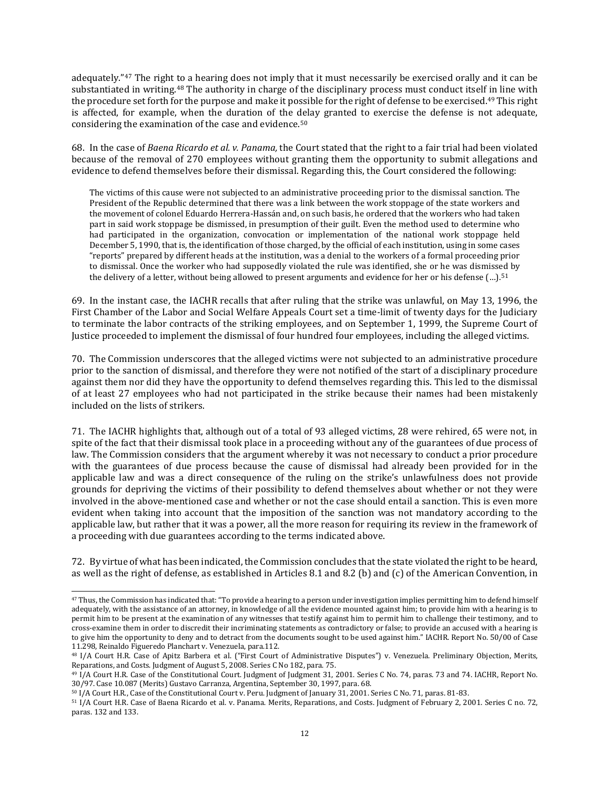adequately."[47](#page-11-0) The right to a hearing does not imply that it must necessarily be exercised orally and it can be substantiated in writing.<sup>[48](#page-11-1)</sup> The authority in charge of the disciplinary process must conduct itself in line with the procedure set forth for the purpose and make it possible for the right of defense to be exercised.<sup>[49](#page-11-2)</sup> This right is affected, for example, when the duration of the delay granted to exercise the defense is not adequate, considering the examination of the case and evidence.[50](#page-11-3)

68. In the case of *Baena Ricardo et al. v. Panama,* the Court stated that the right to a fair trial had been violated because of the removal of 270 employees without granting them the opportunity to submit allegations and evidence to defend themselves before their dismissal. Regarding this, the Court considered the following:

The victims of this cause were not subjected to an administrative proceeding prior to the dismissal sanction. The President of the Republic determined that there was a link between the work stoppage of the state workers and the movement of colonel Eduardo Herrera-Hassán and, on such basis, he ordered that the workers who had taken part in said work stoppage be dismissed, in presumption of their guilt. Even the method used to determine who had participated in the organization, convocation or implementation of the national work stoppage held December 5, 1990, that is, the identification of those charged, by the official of each institution, using in some cases "reports" prepared by different heads at the institution, was a denial to the workers of a formal proceeding prior to dismissal. Once the worker who had supposedly violated the rule was identified, she or he was dismiss[ed](#page-11-4) by the delivery of a letter, without being allowed to present arguments and evidence for her or his defense (…). $^{51}$ 

69. In the instant case, the IACHR recalls that after ruling that the strike was unlawful, on May 13, 1996, the First Chamber of the Labor and Social Welfare Appeals Court set a time-limit of twenty days for the Judiciary to terminate the labor contracts of the striking employees, and on September 1, 1999, the Supreme Court of Justice proceeded to implement the dismissal of four hundred four employees, including the alleged victims.

70. The Commission underscores that the alleged victims were not subjected to an administrative procedure prior to the sanction of dismissal, and therefore they were not notified of the start of a disciplinary procedure against them nor did they have the opportunity to defend themselves regarding this. This led to the dismissal of at least 27 employees who had not participated in the strike because their names had been mistakenly included on the lists of strikers.

71. The IACHR highlights that, although out of a total of 93 alleged victims, 28 were rehired, 65 were not, in spite of the fact that their dismissal took place in a proceeding without any of the guarantees of due process of law. The Commission considers that the argument whereby it was not necessary to conduct a prior procedure with the guarantees of due process because the cause of dismissal had already been provided for in the applicable law and was a direct consequence of the ruling on the strike's unlawfulness does not provide grounds for depriving the victims of their possibility to defend themselves about whether or not they were involved in the above-mentioned case and whether or not the case should entail a sanction. This is even more evident when taking into account that the imposition of the sanction was not mandatory according to the applicable law, but rather that it was a power, all the more reason for requiring its review in the framework of a proceeding with due guarantees according to the terms indicated above.

72. By virtue of what has been indicated, the Commission concludes that the state violated the right to be heard, as well as the right of defense, as established in Articles 8.1 and 8.2 (b) and (c) of the American Convention, in

<span id="page-11-0"></span><sup>47</sup> Thus, the Commission has indicated that: "To provide a hearing to a person under investigation implies permitting him to defend himself adequately, with the assistance of an attorney, in knowledge of all the evidence mounted against him; to provide him with a hearing is to permit him to be present at the examination of any witnesses that testify against him to permit him to challenge their testimony, and to cross-examine them in order to discredit their incriminating statements as contradictory or false; to provide an accused with a hearing is to give him the opportunity to deny and to detract from the documents sought to be used against him." IACHR. Report No. 50/00 of Case 11.298, Reinaldo Figueredo Planchart v. Venezuela, para.112.

<span id="page-11-1"></span><sup>48</sup> I/A Court H.R. Case of Apitz Barbera et al. ("First Court of Administrative Disputes") v. Venezuela. Preliminary Objection, Merits, Reparations, and Costs. Judgment of August 5, 2008. Series C No 182, para. 75.

<span id="page-11-2"></span><sup>49</sup> I/A Court H.R. Case of the Constitutional Court. Judgment of Judgment 31, 2001. Series C No. 74, paras. 73 and 74. IACHR, Report No. 30/97. Case 10.087 (Merits) Gustavo Carranza, Argentina, September 30, 1997, para. 68.

<span id="page-11-3"></span><sup>50</sup> I/A Court H.R., Case of the Constitutional Court v. Peru. Judgment of January 31, 2001. Series C No. 71, paras. 81-83.

<span id="page-11-4"></span><sup>51</sup> I/A Court H.R. Case of Baena Ricardo et al. v. Panama. Merits, Reparations, and Costs. Judgment of February 2, 2001. Series C no. 72, paras. 132 and 133.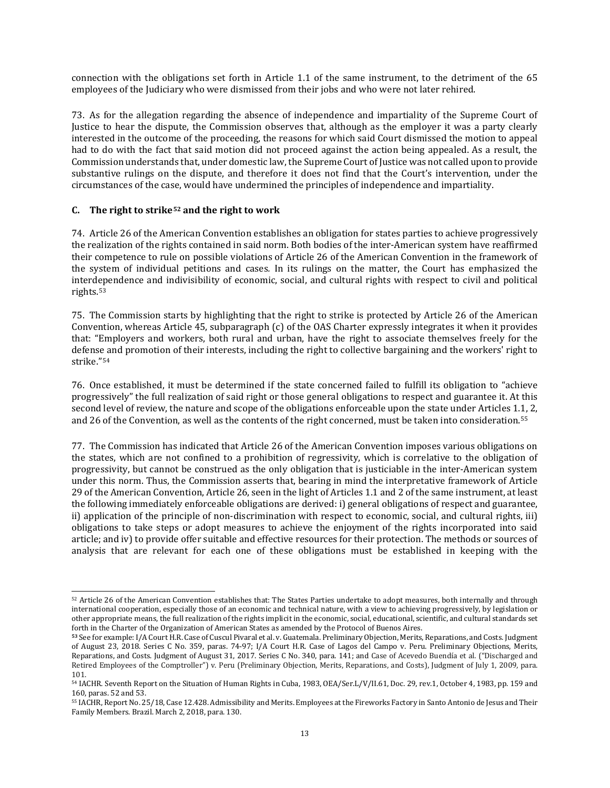connection with the obligations set forth in Article 1.1 of the same instrument, to the detriment of the 65 employees of the Judiciary who were dismissed from their jobs and who were not later rehired.

73. As for the allegation regarding the absence of independence and impartiality of the Supreme Court of Justice to hear the dispute, the Commission observes that, although as the employer it was a party clearly interested in the outcome of the proceeding, the reasons for which said Court dismissed the motion to appeal had to do with the fact that said motion did not proceed against the action being appealed. As a result, the Commission understands that, under domestic law, the Supreme Court of Justice was not called upon to provide substantive rulings on the dispute, and therefore it does not find that the Court's intervention, under the circumstances of the case, would have undermined the principles of independence and impartiality.

### **C. The right to strike[52](#page-12-0) and the right to work**

74. Article 26 of the American Convention establishes an obligation for states parties to achieve progressively the realization of the rights contained in said norm. Both bodies of the inter-American system have reaffirmed their competence to rule on possible violations of Article 26 of the American Convention in the framework of the system of individual petitions and cases*.* In its rulings on the matter, the Court has emphasized the interdependence and indivisibility of economic, social, and cultural rights with respect to civil and political rights.[53](#page-12-1)

75. The Commission starts by highlighting that the right to strike is protected by Article 26 of the American Convention, whereas Article 45, subparagraph (c) of the OAS Charter expressly integrates it when it provides that: "Employers and workers, both rural and urban, have the right to associate themselves freely for the defense and promotion of their interests, including the right to collective bargaining and the workers' right to strike."[54](#page-12-2)

76. Once established, it must be determined if the state concerned failed to fulfill its obligation to "achieve progressively" the full realization of said right or those general obligations to respect and guarantee it. At this second level of review, the nature and scope of the obligations enforceable upon the state under Articles 1.1, 2, and 26 of the Convention, as well as the contents of the right concerned, must be taken into consideration.[55](#page-12-3)

77. The Commission has indicated that Article 26 of the American Convention imposes various obligations on the states, which are not confined to a prohibition of regressivity, which is correlative to the obligation of progressivity, but cannot be construed as the only obligation that is justiciable in the inter-American system under this norm. Thus, the Commission asserts that, bearing in mind the interpretative framework of Article 29 of the American Convention, Article 26, seen in the light of Articles 1.1 and 2 of the same instrument, at least the following immediately enforceable obligations are derived: i) general obligations of respect and guarantee, ii) application of the principle of non-discrimination with respect to economic, social, and cultural rights, iii) obligations to take steps or adopt measures to achieve the enjoyment of the rights incorporated into said article; and iv) to provide offer suitable and effective resources for their protection. The methods or sources of analysis that are relevant for each one of these obligations must be established in keeping with the

<span id="page-12-0"></span><sup>52</sup> Article 26 of the American Convention establishes that: The States Parties undertake to adopt measures, both internally and through international cooperation, especially those of an economic and technical nature, with a view to achieving progressively, by legislation or other appropriate means, the full realization of the rights implicit in the economic, social, educational, scientific, and cultural standards set

<span id="page-12-1"></span><sup>53</sup> See for example: I/A Court H.R. Case of Cuscul Pivaral et al. v. Guatemala. Preliminary Objection, Merits, Reparations, and Costs. Judgment of August 23, 2018. Series C No. 359, paras. 74-97; I/A Court H.R. Case of Lagos del Campo v. Peru. Preliminary Objections, Merits, Reparations, and Costs. Judgment of August 31, 2017. Series C No. 340, para. 141; and Case of Acevedo Buendía et al. ("Discharged and Retired Employees of the Comptroller") v. Peru (Preliminary Objection, Merits, Reparations, and Costs), Judgment of July 1, 2009, para. 101.

<span id="page-12-2"></span><sup>54</sup> IACHR. Seventh Report on the Situation of Human Rights in Cuba, 1983, OEA/Ser.L/V/II.61, Doc. 29, rev.1, October 4, 1983, pp. 159 and 160, paras. 52 and 53.

<span id="page-12-3"></span><sup>55</sup> IACHR, Report No. 25/18, Case 12.428. Admissibility and Merits. Employees at the Fireworks Factory in Santo Antonio de Jesus and Their Family Members. Brazil. March 2, 2018, para. 130.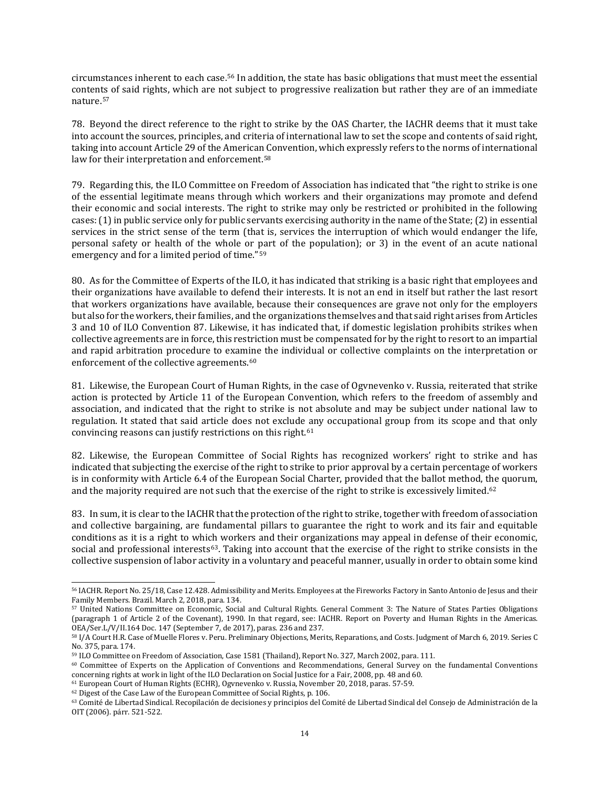circumstances inherent to each case.[56](#page-13-0) In addition, the state has basic obligations that must meet the essential contents of said rights, which are not subject to progressive realization but rather they are of an immediate nature.[57](#page-13-1)

78. Beyond the direct reference to the right to strike by the OAS Charter, the IACHR deems that it must take into account the sources, principles, and criteria of international law to set the scope and contents of said right, taking into account Article 29 of the American Convention, which expressly refers to the norms of international law for their interpretation and enforcement.<sup>[58](#page-13-2)</sup>

79. Regarding this, the ILO Committee on Freedom of Association has indicated that "the right to strike is one of the essential legitimate means through which workers and their organizations may promote and defend their economic and social interests. The right to strike may only be restricted or prohibited in the following cases:(1)in public service only for public servants exercising authority in the name of the State;(2) in essential services in the strict sense of the term (that is, services the interruption of which would endanger the life, personal safety or health of the whole or part of the population); or 3) in the event of an acute national emergency and for a limited period of time."[59](#page-13-3)

80. As for the Committee of Experts of the ILO, it has indicated that striking is a basic right that employees and their organizations have available to defend their interests. It is not an end in itself but rather the last resort that workers organizations have available, because their consequences are grave not only for the employers but also for the workers, their families, and the organizations themselves and that said right arises from Articles 3 and 10 of ILO Convention 87. Likewise, it has indicated that, if domestic legislation prohibits strikes when collective agreements are in force, this restriction must be compensated for by the right to resort to an impartial and rapid arbitration procedure to examine the individual or collective complaints on the interpretation or enforcement of the collective agreements.<sup>[60](#page-13-4)</sup>

81. Likewise, the European Court of Human Rights, in the case of Ogvnevenko v. Russia, reiterated that strike action is protected by Article 11 of the European Convention, which refers to the freedom of assembly and association, and indicated that the right to strike is not absolute and may be subject under national law to regulation. It stated that said article does not exclude any occupational group from its scope and that only convincing reasons can justify restrictions on this right.[61](#page-13-5)

82. Likewise, the European Committee of Social Rights has recognized workers' right to strike and has indicated that subjecting the exercise of the right to strike to prior approval by a certain percentage of workers is in conformity with Article 6.4 of the European Social Charter, provided that the ballot method, t[he](#page-13-6) quorum, and the majority required are not such that the exercise of the right to strike is excessively limited.<sup>62</sup>

83. In sum, it is clear to the IACHR that the protection of the right to strike, together with freedom of association and collective bargaining, are fundamental pillars to guarantee the right to work and its fair and equitable conditions as it is a right to which workers and their organizations may appeal in defense of their economic, social and professional interests<sup>[63](#page-13-7)</sup>. Taking into account that the exercise of the right to strike consists in the collective suspension of labor activity in a voluntary and peaceful manner, usually in order to obtain some kind

<span id="page-13-0"></span><sup>56</sup> IACHR. Report No. 25/18, Case 12.428. Admissibility and Merits. Employees at the Fireworks Factory in Santo Antonio de Jesus and their Family Members. Brazil. March 2, 2018, para. 134.

<span id="page-13-1"></span><sup>57</sup> United Nations Committee on Economic, Social and Cultural Rights. General Comment 3: The Nature of States Parties Obligations (paragraph 1 of Article 2 of the Covenant), 1990. In that regard, see: IACHR. Report on Poverty and Human Rights in the Americas. OEA/Ser.L/V/II.164 Doc. 147 (September 7, de 2017), paras. 236 and 237.

<span id="page-13-2"></span><sup>58</sup> I/A Court H.R. Case of Muelle Flores v. Peru. Preliminary Objections, Merits, Reparations, and Costs. Judgment of March 6, 2019. Series C No. 375, para. 174.

<span id="page-13-3"></span><sup>59</sup> ILO Committee on Freedom of Association, Case 1581 (Thailand), Report No. 327, March 2002, para. 111.

<span id="page-13-4"></span><sup>60</sup> Committee of Experts on the Application of Conventions and Recommendations, General Survey on the fundamental Conventions concerning rights at work in light of the ILO Declaration on Social Justice for a Fair, 2008, pp. 48 and 60.

<sup>61</sup> European Court of Human Rights (ECHR), Ogvnevenko v. Russia, November 20, 2018, paras. 57-59.

<span id="page-13-6"></span><span id="page-13-5"></span><sup>62</sup> Digest of the Case Law of the European Committee of Social Rights, p. 106.

<span id="page-13-7"></span><sup>63</sup> Comité de Libertad Sindical. Recopilación de decisiones y principios del Comité de Libertad Sindical del Consejo de Administración de la OIT (2006). párr. 521-522.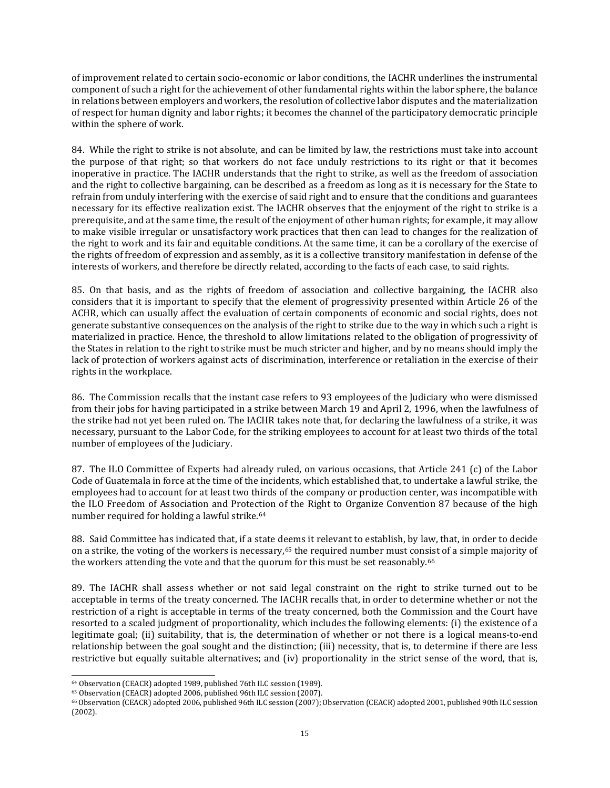of improvement related to certain socio-economic or labor conditions, the IACHR underlines the instrumental component of such a right for the achievement of other fundamental rights within the labor sphere, the balance in relations between employers and workers, the resolution of collective labor disputes and the materialization of respect for human dignity and labor rights; it becomes the channel of the participatory democratic principle within the sphere of work.

84. While the right to strike is not absolute, and can be limited by law, the restrictions must take into account the purpose of that right; so that workers do not face unduly restrictions to its right or that it becomes inoperative in practice. The IACHR understands that the right to strike, as well as the freedom of association and the right to collective bargaining, can be described as a freedom as long as it is necessary for the State to refrain from unduly interfering with the exercise of said right and to ensure that the conditions and guarantees necessary for its effective realization exist. The IACHR observes that the enjoyment of the right to strike is a prerequisite, and at the same time, the result of the enjoyment of other human rights; for example, it may allow to make visible irregular or unsatisfactory work practices that then can lead to changes for the realization of the right to work and its fair and equitable conditions. At the same time, it can be a corollary of the exercise of the rights of freedom of expression and assembly, as it is a collective transitory manifestation in defense of the interests of workers, and therefore be directly related, according to the facts of each case, to said rights.

85. On that basis, and as the rights of freedom of association and collective bargaining, the IACHR also considers that it is important to specify that the element of progressivity presented within Article 26 of the ACHR, which can usually affect the evaluation of certain components of economic and social rights, does not generate substantive consequences on the analysis of the right to strike due to the way in which such a right is materialized in practice. Hence, the threshold to allow limitations related to the obligation of progressivity of the States in relation to the right to strike must be much stricter and higher, and by no means should imply the lack of protection of workers against acts of discrimination, interference or retaliation in the exercise of their rights in the workplace.

86. The Commission recalls that the instant case refers to 93 employees of the Judiciary who were dismissed from their jobs for having participated in a strike between March 19 and April 2, 1996, when the lawfulness of the strike had not yet been ruled on. The IACHR takes note that, for declaring the lawfulness of a strike, it was necessary, pursuant to the Labor Code, for the striking employees to account for at least two thirds of the total number of employees of the Judiciary.

87. The ILO Committee of Experts had already ruled, on various occasions, that Article 241 (c) of the Labor Code of Guatemala in force at the time of the incidents, which established that, to undertake a lawful strike, the employees had to account for at least two thirds of the company or production center, was incompatible with the ILO Freedom of Association and Protection of the Right to Organize Convention 87 because of the high number required for holding a lawful strike.[64](#page-14-0)

88. Said Committee has indicated that, if a state deems it relevant to establish, by law, that, in order to decide on a strike, the voting of the workers is necessary,<sup>[65](#page-14-1)</sup> the required number must consist of a simple majority of the workers attending the vote and that the quorum for this must be set reasonably.<sup>[66](#page-14-2)</sup>

89. The IACHR shall assess whether or not said legal constraint on the right to strike turned out to be acceptable in terms of the treaty concerned. The IACHR recalls that, in order to determine whether or not the restriction of a right is acceptable in terms of the treaty concerned, both the Commission and the Court have resorted to a scaled judgment of proportionality, which includes the following elements: (i) the existence of a legitimate goal; (ii) suitability, that is, the determination of whether or not there is a logical means-to-end relationship between the goal sought and the distinction; (iii) necessity, that is, to determine if there are less restrictive but equally suitable alternatives; and (iv) proportionality in the strict sense of the word, that is,

<span id="page-14-0"></span><sup>64</sup> Observation (CEACR) adopted 1989, published 76th ILC session (1989).

<span id="page-14-1"></span><sup>65</sup> Observation (CEACR) adopted 2006, published 96th ILC session (2007).

<span id="page-14-2"></span><sup>66</sup> Observation (CEACR) adopted 2006, published 96th ILC session (2007); Observation (CEACR) adopted 2001, published 90th ILC session (2002).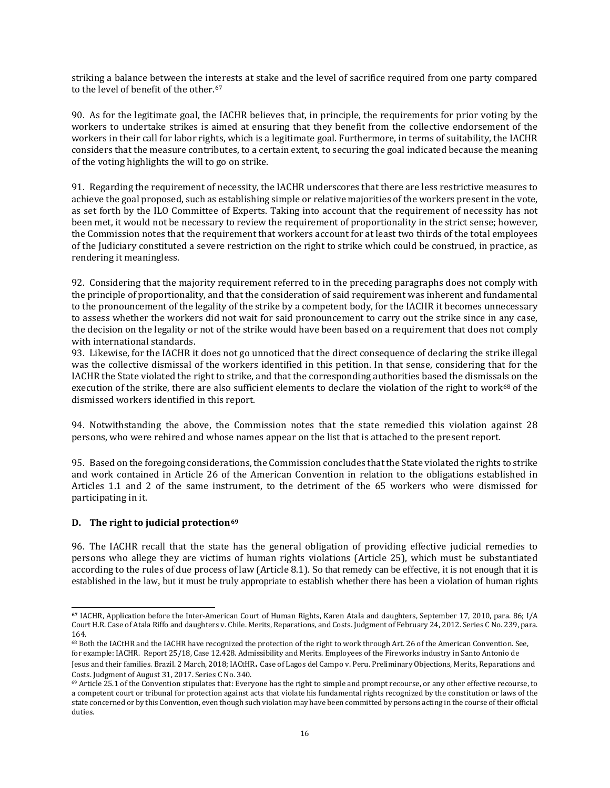striking a balance between the in[ter](#page-15-0)ests at stake and the level of sacrifice required from one party compared to the level of benefit of the other.<sup>67</sup>

90. As for the legitimate goal, the IACHR believes that, in principle, the requirements for prior voting by the workers to undertake strikes is aimed at ensuring that they benefit from the collective endorsement of the workers in their call for labor rights, which is a legitimate goal. Furthermore, in terms of suitability, the IACHR considers that the measure contributes, to a certain extent, to securing the goal indicated because the meaning of the voting highlights the will to go on strike.

91. Regarding the requirement of necessity, the IACHR underscores that there are less restrictive measures to achieve the goal proposed, such as establishing simple or relative majorities of the workers present in the vote, as set forth by the ILO Committee of Experts. Taking into account that the requirement of necessity has not been met, it would not be necessary to review the requirement of proportionality in the strict sense; however, the Commission notes that the requirement that workers account for at least two thirds of the total employees of the Judiciary constituted a severe restriction on the right to strike which could be construed, in practice, as rendering it meaningless.

92. Considering that the majority requirement referred to in the preceding paragraphs does not comply with the principle of proportionality, and that the consideration of said requirement was inherent and fundamental to the pronouncement of the legality of the strike by a competent body, for the IACHR it becomes unnecessary to assess whether the workers did not wait for said pronouncement to carry out the strike since in any case, the decision on the legality or not of the strike would have been based on a requirement that does not comply with international standards.

93. Likewise, for the IACHR it does not go unnoticed that the direct consequence of declaring the strike illegal was the collective dismissal of the workers identified in this petition. In that sense, considering that for the IACHR the State violated the right to strike, and that the corresponding authorities based the dismissals on the execution of the strike, there are also sufficient elements to declare the violation of the right to work<sup>[68](#page-15-1)</sup> of the dismissed workers identified in this report.

94. Notwithstanding the above, the Commission notes that the state remedied this violation against 28 persons, who were rehired and whose names appear on the list that is attached to the present report.

95. Based on the foregoing considerations, the Commission concludes thatthe State violated the rights to strike and work contained in Article 26 of the American Convention in relation to the obligations established in Articles 1.1 and 2 of the same instrument, to the detriment of the 65 workers who were dismissed for participating in it.

### **D. The right to judicial protection[69](#page-15-2)**

96. The IACHR recall that the state has the general obligation of providing effective judicial remedies to persons who allege they are victims of human rights violations (Article 25), which must be substantiated according to the rules of due process of law (Article 8.1). So that remedy can be effective, it is not enough that it is established in the law, but it must be truly appropriate to establish whether there has been a violation of human rights

<span id="page-15-0"></span>**<sup>67</sup>** IACHR, Application before the Inter-American Court of Human Rights, Karen Atala and daughters, September 17, 2010, para. 86; I/A Court H.R. Case of Atala Riffo and daughters v. Chile. Merits, Reparations, and Costs. Judgment of February 24, 2012. Series C No. 239, para. 164.

<span id="page-15-1"></span><sup>68</sup> Both the IACtHR and the IACHR have recognized the protection of the right to work through Art. 26 of the American Convention. See, for example: IACHR. Report 25/18, Case 12.428. Admissibility and Merits. Employees of the Fireworks industry in Santo Antonio de Jesus and their families. Brazil. 2 March, 2018; IACtHR**.** Case of Lagos del Campo v. Peru. Preliminary Objections, Merits, Reparations and Costs. Judgment of August 31, 2017. Series C No. 340.

<span id="page-15-2"></span><sup>69</sup> Article 25.1 of the Convention stipulates that: Everyone has the right to simple and prompt recourse, or any other effective recourse, to a competent court or tribunal for protection against acts that violate his fundamental rights recognized by the constitution or laws of the state concerned or by this Convention, even though such violation may have been committed by persons acting in the course of their official duties.